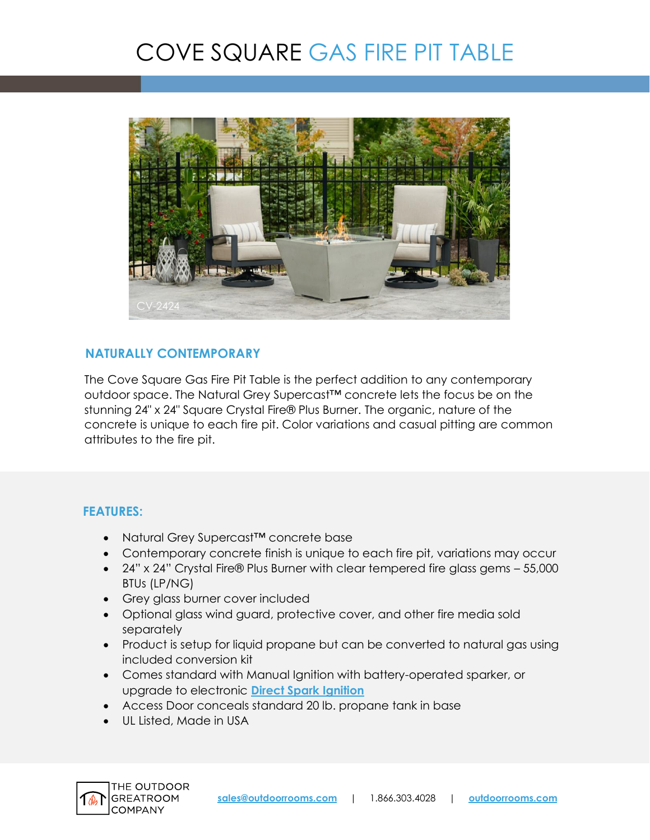# COVE SQUARE GAS FIRE PIT TABLE



### **NATURALLY CONTEMPORARY**

The Cove Square Gas Fire Pit Table is the perfect addition to any contemporary outdoor space. The Natural Grey Supercast™ concrete lets the focus be on the stunning 24" x 24" Square Crystal Fire® Plus Burner. The organic, nature of the concrete is unique to each fire pit. Color variations and casual pitting are common attributes to the fire pit.

### **FEATURES:**

- Natural Grey Supercast™ concrete base
- Contemporary concrete finish is unique to each fire pit, variations may occur
- 24" x 24" Crystal Fire® Plus Burner with clear tempered fire glass gems 55,000 BTUs (LP/NG)
- Grey glass burner cover included
- Optional glass wind guard, protective cover, and other fire media sold separately
- Product is setup for liquid propane but can be converted to natural gas using included conversion kit
- Comes standard with Manual Ignition with battery-operated sparker, or upgrade to electronic **[Direct Spark Ignition](https://www.outdoorrooms.com/sites/default/files/files/direct-spark-ignition-info-sheet.pdf)**
- Access Door conceals standard 20 lb. propane tank in base
- UL Listed, Made in USA